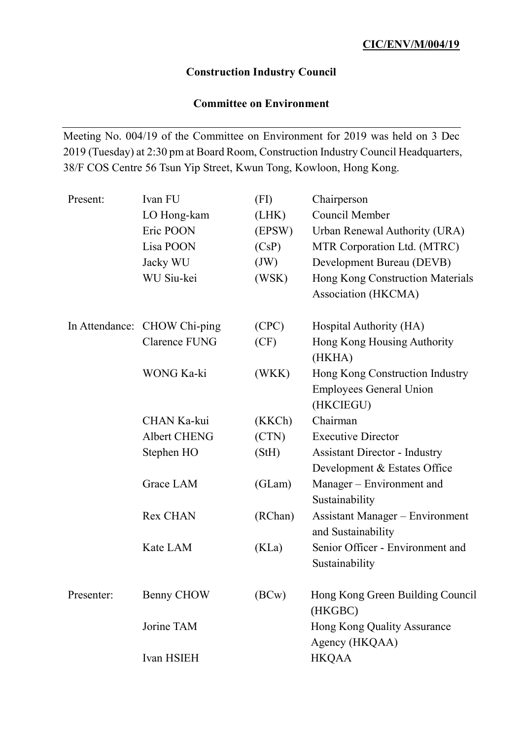# **Construction Industry Council**

## **Committee on Environment**

Meeting No. 004/19 of the Committee on Environment for 2019 was held on 3 Dec 2019 (Tuesday) at 2:30 pm at Board Room, Construction Industry Council Headquarters, 38/F COS Centre 56 Tsun Yip Street, Kwun Tong, Kowloon, Hong Kong.

| Present:   | Ivan FU                      | (FI)    | Chairperson                            |
|------------|------------------------------|---------|----------------------------------------|
|            | LO Hong-kam                  | (LHK)   | Council Member                         |
|            | Eric POON                    | (EPSW)  | Urban Renewal Authority (URA)          |
|            | Lisa POON                    | (CsP)   | MTR Corporation Ltd. (MTRC)            |
|            | Jacky WU                     | (JW)    | Development Bureau (DEVB)              |
|            | WU Siu-kei                   | (WSK)   | Hong Kong Construction Materials       |
|            |                              |         | Association (HKCMA)                    |
|            | In Attendance: CHOW Chi-ping | (CPC)   | Hospital Authority (HA)                |
|            | Clarence FUNG                | (CF)    | Hong Kong Housing Authority<br>(HKHA)  |
|            | WONG Ka-ki                   | (WKK)   | Hong Kong Construction Industry        |
|            |                              |         | <b>Employees General Union</b>         |
|            |                              |         | (HKCIEGU)                              |
|            | CHAN Ka-kui                  | (KKCh)  | Chairman                               |
|            | <b>Albert CHENG</b>          | (CTN)   | <b>Executive Director</b>              |
|            | Stephen HO                   | (StH)   | <b>Assistant Director - Industry</b>   |
|            |                              |         | Development & Estates Office           |
|            | Grace LAM                    | (GLam)  | Manager – Environment and              |
|            |                              |         | Sustainability                         |
|            | <b>Rex CHAN</b>              | (RChan) | <b>Assistant Manager - Environment</b> |
|            |                              |         | and Sustainability                     |
|            | Kate LAM                     | (KLa)   | Senior Officer - Environment and       |
|            |                              |         | Sustainability                         |
| Presenter: | Benny CHOW                   | (BCw)   | Hong Kong Green Building Council       |
|            |                              |         | (HKGBC)                                |
|            | Jorine TAM                   |         | Hong Kong Quality Assurance            |
|            |                              |         | Agency (HKQAA)                         |
|            | Ivan HSIEH                   |         | <b>HKQAA</b>                           |
|            |                              |         |                                        |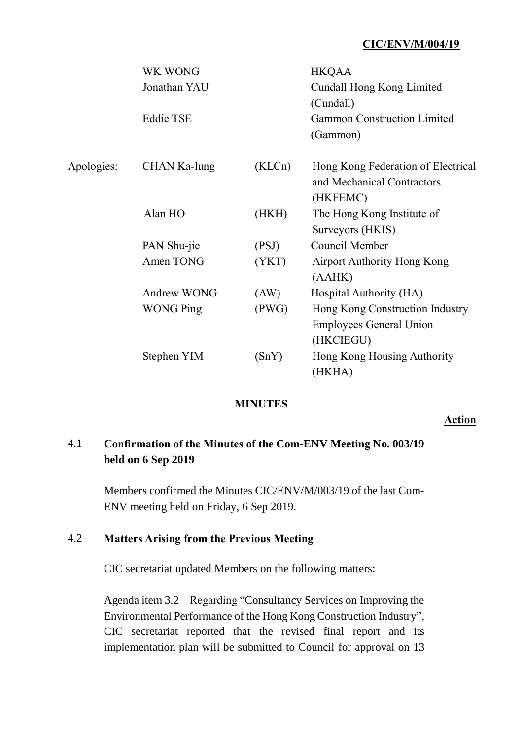|            | WK WONG          |        | <b>HKQAA</b>                       |
|------------|------------------|--------|------------------------------------|
|            | Jonathan YAU     |        | Cundall Hong Kong Limited          |
|            |                  |        | (Cundall)                          |
|            | <b>Eddie TSE</b> |        | <b>Gammon Construction Limited</b> |
|            |                  |        | (Gammon)                           |
| Apologies: | CHAN Ka-lung     | (KLCn) | Hong Kong Federation of Electrical |
|            |                  |        | and Mechanical Contractors         |
|            |                  |        | (HKFEMC)                           |
|            | Alan HO          | (HKH)  | The Hong Kong Institute of         |
|            |                  |        | Surveyors (HKIS)                   |
|            | PAN Shu-jie      | (PSJ)  | Council Member                     |
|            | Amen TONG        | (YKT)  | <b>Airport Authority Hong Kong</b> |
|            |                  |        | (AAHK)                             |
|            | Andrew WONG      | (AW)   | Hospital Authority (HA)            |
|            | <b>WONG Ping</b> | (PWG)  | Hong Kong Construction Industry    |
|            |                  |        | <b>Employees General Union</b>     |
|            |                  |        | (HKCIEGU)                          |
|            | Stephen YIM      | (SnY)  | Hong Kong Housing Authority        |
|            |                  |        | (HKHA)                             |

#### **MINUTES**

#### **Action**

## 4.1 **Confirmation of the Minutes of the Com-ENV Meeting No. 003/19 held on 6 Sep 2019**

Members confirmed the Minutes CIC/ENV/M/003/19 of the last Com-ENV meeting held on Friday, 6 Sep 2019.

### 4.2 **Matters Arising from the Previous Meeting**

CIC secretariat updated Members on the following matters:

Agenda item 3.2 – Regarding "Consultancy Services on Improving the Environmental Performance of the Hong Kong Construction Industry", CIC secretariat reported that the revised final report and its implementation plan will be submitted to Council for approval on 13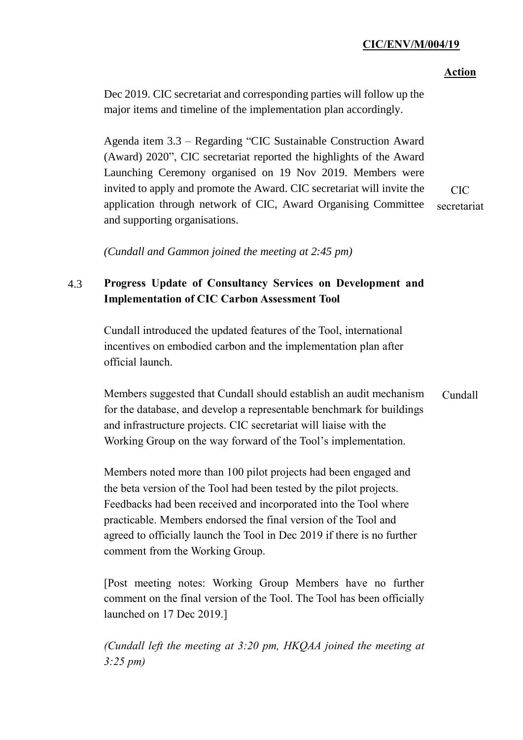#### **Action**

Dec 2019. CIC secretariat and corresponding parties will follow up the major items and timeline of the implementation plan accordingly.

Agenda item 3.3 – Regarding "CIC Sustainable Construction Award (Award) 2020", CIC secretariat reported the highlights of the Award Launching Ceremony organised on 19 Nov 2019. Members were invited to apply and promote the Award. CIC secretariat will invite the application through network of CIC, Award Organising Committee and supporting organisations. CIC secretariat

*(Cundall and Gammon joined the meeting at 2:45 pm)*

## 4.3 **Progress Update of Consultancy Services on Development and Implementation of CIC Carbon Assessment Tool**

Cundall introduced the updated features of the Tool, international incentives on embodied carbon and the implementation plan after official launch.

Members suggested that Cundall should establish an audit mechanism for the database, and develop a representable benchmark for buildings and infrastructure projects. CIC secretariat will liaise with the Working Group on the way forward of the Tool's implementation. Cundall

Members noted more than 100 pilot projects had been engaged and the beta version of the Tool had been tested by the pilot projects. Feedbacks had been received and incorporated into the Tool where practicable. Members endorsed the final version of the Tool and agreed to officially launch the Tool in Dec 2019 if there is no further comment from the Working Group.

[Post meeting notes: Working Group Members have no further comment on the final version of the Tool. The Tool has been officially launched on 17 Dec 2019.]

*(Cundall left the meeting at 3:20 pm, HKQAA joined the meeting at 3:25 pm)*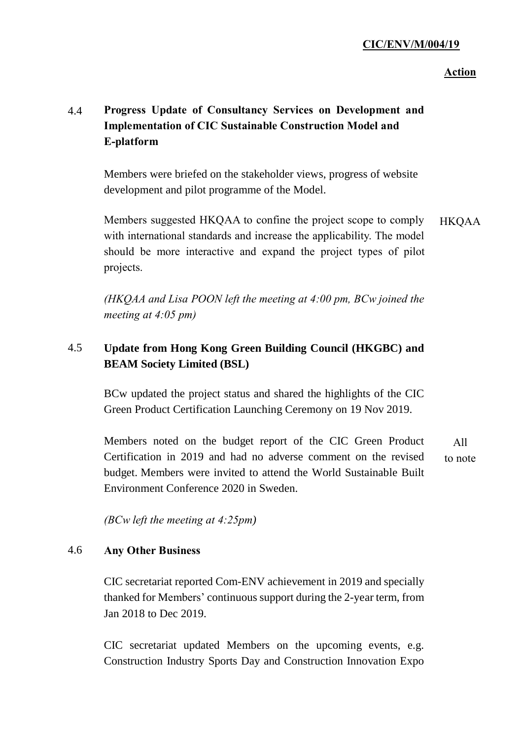### **Action**

## 4.4 **Progress Update of Consultancy Services on Development and Implementation of CIC Sustainable Construction Model and E-platform**

Members were briefed on the stakeholder views, progress of website development and pilot programme of the Model.

Members suggested HKQAA to confine the project scope to comply with international standards and increase the applicability. The model should be more interactive and expand the project types of pilot projects. HKQAA

*(HKQAA and Lisa POON left the meeting at 4:00 pm, BCw joined the meeting at 4:05 pm)*

## 4.5 **Update from Hong Kong Green Building Council (HKGBC) and BEAM Society Limited (BSL)**

BCw updated the project status and shared the highlights of the CIC Green Product Certification Launching Ceremony on 19 Nov 2019.

Members noted on the budget report of the CIC Green Product Certification in 2019 and had no adverse comment on the revised budget. Members were invited to attend the World Sustainable Built Environment Conference 2020 in Sweden. All to note

*(BCw left the meeting at 4:25pm)*

#### 4.6 **Any Other Business**

CIC secretariat reported Com-ENV achievement in 2019 and specially thanked for Members' continuous support during the 2-year term, from Jan 2018 to Dec 2019.

CIC secretariat updated Members on the upcoming events, e.g. Construction Industry Sports Day and Construction Innovation Expo